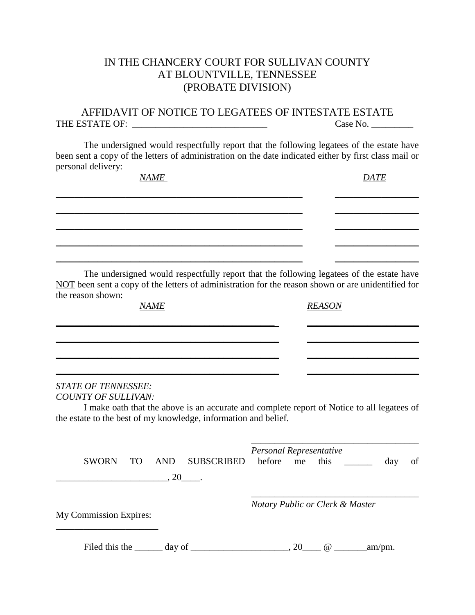## IN THE CHANCERY COURT FOR SULLIVAN COUNTY AT BLOUNTVILLE, TENNESSEE (PROBATE DIVISION)

AFFIDAVIT OF NOTICE TO LEGATEES OF INTESTATE ESTATE THE ESTATE OF: \_\_\_\_\_\_\_\_\_\_\_\_\_\_\_\_\_\_\_\_\_\_\_\_\_\_\_\_\_ Case No. \_\_\_\_\_\_\_\_\_

The undersigned would respectfully report that the following legatees of the estate have been sent a copy of the letters of administration on the date indicated either by first class mail or personal delivery:

*NAME DATE \_\_\_\_\_\_\_\_\_\_\_\_\_\_\_\_\_\_\_\_\_\_\_\_\_\_\_\_\_\_\_\_\_\_\_\_\_\_\_\_\_\_\_\_\_\_\_\_\_\_\_\_\_ \_\_\_\_\_\_\_\_\_\_\_\_\_\_\_\_\_\_ \_\_\_\_\_\_\_\_\_\_\_\_\_\_\_\_\_\_\_\_\_\_\_\_\_\_\_\_\_\_\_\_\_\_\_\_\_\_\_\_\_\_\_\_\_\_\_\_\_\_\_\_\_ \_\_\_\_\_\_\_\_\_\_\_\_\_\_\_\_\_\_ \_\_\_\_\_\_\_\_\_\_\_\_\_\_\_\_\_\_\_\_\_\_\_\_\_\_\_\_\_\_\_\_\_\_\_\_\_\_\_\_\_\_\_\_\_\_\_\_\_\_\_\_\_ \_\_\_\_\_\_\_\_\_\_\_\_\_\_\_\_\_\_ \_\_\_\_\_\_\_\_\_\_\_\_\_\_\_\_\_\_\_\_\_\_\_\_\_\_\_\_\_\_\_\_\_\_\_\_\_\_\_\_\_\_\_\_\_\_\_\_\_\_\_\_\_ \_\_\_\_\_\_\_\_\_\_\_\_\_\_\_\_\_\_ \_\_\_\_\_\_\_\_\_\_\_\_\_\_\_\_\_\_\_\_\_\_\_\_\_\_\_\_\_\_\_\_\_\_\_\_\_\_\_\_\_\_\_\_\_\_\_\_\_\_\_\_\_ \_\_\_\_\_\_\_\_\_\_\_\_\_\_\_\_\_\_* The undersigned would respectfully report that the following legatees of the estate have

NOT been sent a copy of the letters of administration for the reason shown or are unidentified for the reason shown:

*\_\_\_\_\_\_\_\_\_\_\_\_\_\_\_\_\_\_\_\_\_\_\_\_\_\_\_\_\_\_\_\_\_\_\_\_\_\_\_\_\_\_\_\_\_\_\_ \_\_\_\_\_\_\_\_\_\_\_\_\_\_\_\_\_\_\_\_\_\_\_\_*

*\_\_\_\_\_\_\_\_\_\_\_\_\_\_\_\_\_\_\_\_\_\_\_\_\_\_\_\_\_\_\_\_\_\_\_\_\_\_\_\_\_\_\_\_\_\_\_\_ \_\_\_\_\_\_\_\_\_\_\_\_\_\_\_\_\_\_\_\_\_\_\_\_*

*\_\_\_\_\_\_\_\_\_\_\_\_\_\_\_\_\_\_\_\_\_\_\_\_\_\_\_\_\_\_\_\_\_\_\_\_\_\_\_\_\_\_\_\_\_\_\_\_ \_\_\_\_\_\_\_\_\_\_\_\_\_\_\_\_\_\_\_\_\_\_\_\_*

*\_\_\_\_\_\_\_\_\_\_\_\_\_\_\_\_\_\_\_\_\_\_\_\_\_\_\_\_\_\_\_\_\_\_\_\_\_\_\_\_\_\_\_\_\_\_\_\_ \_\_\_\_\_\_\_\_\_\_\_\_\_\_\_\_\_\_\_\_\_\_\_\_*

*NAME REASON*

*STATE OF TENNESSEE: COUNTY OF SULLIVAN:*

I make oath that the above is an accurate and complete report of Notice to all legatees of the estate to the best of my knowledge, information and belief.

| <b>SWORN</b><br>TO <sub>1</sub> | AND SUBSCRIBED<br>$.20$ . | Personal Representative<br>before me |      |                         | this | day     | of |
|---------------------------------|---------------------------|--------------------------------------|------|-------------------------|------|---------|----|
| <b>My Commission Expires:</b>   |                           | Notary Public or Clerk & Master      |      |                         |      |         |    |
|                                 |                           |                                      | , 20 | $\circledcirc$ $\qquad$ |      | .am/pm. |    |